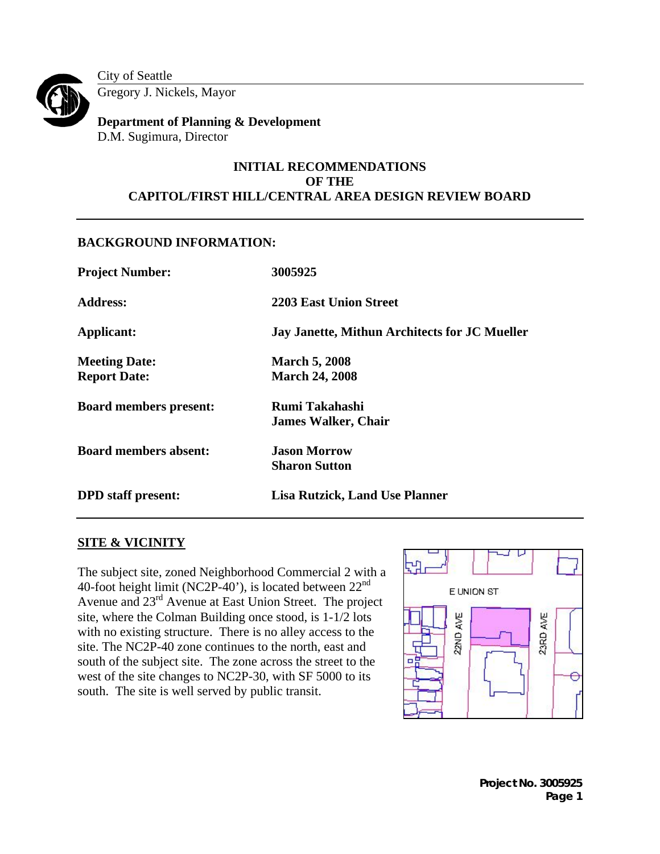

City of Seattle Gregory J. Nickels, Mayor

**Department of Planning & Development**  D.M. Sugimura, Director

# **INITIAL RECOMMENDATIONS OF THE CAPITOL/FIRST HILL/CENTRAL AREA DESIGN REVIEW BOARD**

# **BACKGROUND INFORMATION:**

| <b>Project Number:</b>        | 3005925                                       |  |  |
|-------------------------------|-----------------------------------------------|--|--|
| <b>Address:</b>               | <b>2203 East Union Street</b>                 |  |  |
| Applicant:                    | Jay Janette, Mithun Architects for JC Mueller |  |  |
| <b>Meeting Date:</b>          | <b>March 5, 2008</b>                          |  |  |
| <b>Report Date:</b>           | <b>March 24, 2008</b>                         |  |  |
| <b>Board members present:</b> | Rumi Takahashi                                |  |  |
|                               | <b>James Walker, Chair</b>                    |  |  |
| <b>Board members absent:</b>  | <b>Jason Morrow</b>                           |  |  |
|                               | <b>Sharon Sutton</b>                          |  |  |
| <b>DPD</b> staff present:     | <b>Lisa Rutzick, Land Use Planner</b>         |  |  |

# **SITE & VICINITY**

The subject site, zoned Neighborhood Commercial 2 with a 40-foot height limit (NC2P-40'), is located between 22<sup>nd</sup> Avenue and 23rd Avenue at East Union Street. The project site, where the Colman Building once stood, is 1-1/2 lots with no existing structure. There is no alley access to the site. The NC2P-40 zone continues to the north, east and south of the subject site. The zone across the street to the west of the site changes to NC2P-30, with SF 5000 to its south. The site is well served by public transit.



**Project No. 3005925 Page 1**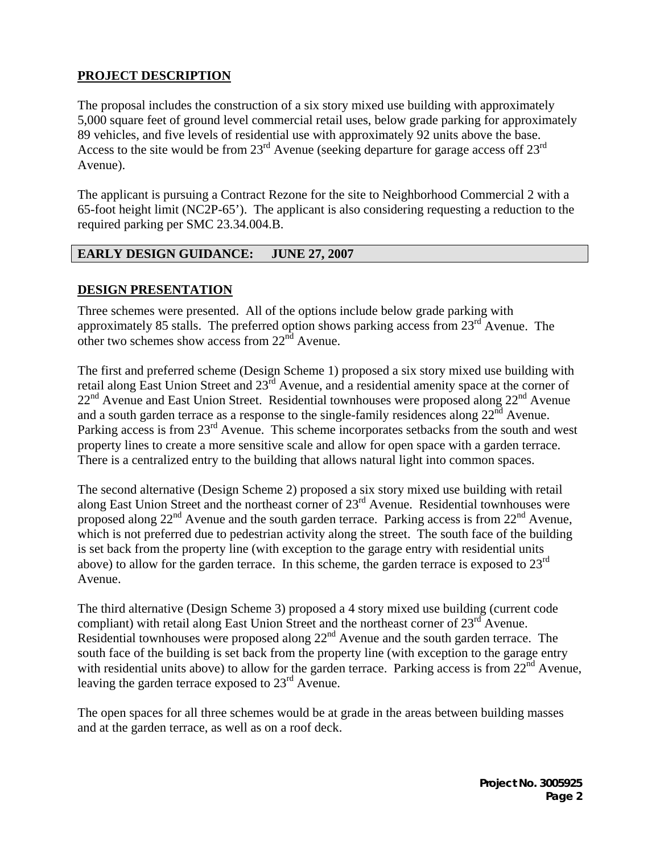# **PROJECT DESCRIPTION**

The proposal includes the construction of a six story mixed use building with approximately 5,000 square feet of ground level commercial retail uses, below grade parking for approximately 89 vehicles, and five levels of residential use with approximately 92 units above the base. Access to the site would be from  $23^{\text{rd}}$  Avenue (seeking departure for garage access off  $23^{\text{rd}}$ Avenue).

The applicant is pursuing a Contract Rezone for the site to Neighborhood Commercial 2 with a 65-foot height limit (NC2P-65'). The applicant is also considering requesting a reduction to the required parking per SMC 23.34.004.B.

### **EARLY DESIGN GUIDANCE: JUNE 27, 2007**

### **DESIGN PRESENTATION**

Three schemes were presented. All of the options include below grade parking with approximately 85 stalls. The preferred option shows parking access from  $23<sup>rd</sup>$  Avenue. The other two schemes show access from  $22<sup>nd</sup>$  Avenue.

The first and preferred scheme (Design Scheme 1) proposed a six story mixed use building with retail along East Union Street and 23<sup>rd</sup> Avenue, and a residential amenity space at the corner of 22<sup>nd</sup> Avenue and East Union Street. Residential townhouses were proposed along 22<sup>nd</sup> Avenue and a south garden terrace as a response to the single-family residences along  $22<sup>nd</sup>$  Avenue. Parking access is from 23<sup>rd</sup> Avenue. This scheme incorporates setbacks from the south and west property lines to create a more sensitive scale and allow for open space with a garden terrace. There is a centralized entry to the building that allows natural light into common spaces.

The second alternative (Design Scheme 2) proposed a six story mixed use building with retail along East Union Street and the northeast corner of 23rd Avenue. Residential townhouses were proposed along  $22^{nd}$  Avenue and the south garden terrace. Parking access is from  $22^{nd}$  Avenue, which is not preferred due to pedestrian activity along the street. The south face of the building is set back from the property line (with exception to the garage entry with residential units above) to allow for the garden terrace. In this scheme, the garden terrace is exposed to  $23<sup>rd</sup>$ Avenue.

The third alternative (Design Scheme 3) proposed a 4 story mixed use building (current code compliant) with retail along East Union Street and the northeast corner of  $23<sup>rd</sup>$  Avenue. Residential townhouses were proposed along  $22<sup>nd</sup>$  Avenue and the south garden terrace. The south face of the building is set back from the property line (with exception to the garage entry with residential units above) to allow for the garden terrace. Parking access is from 22<sup>nd</sup> Avenue, leaving the garden terrace exposed to  $23<sup>rd</sup>$  Avenue.

The open spaces for all three schemes would be at grade in the areas between building masses and at the garden terrace, as well as on a roof deck.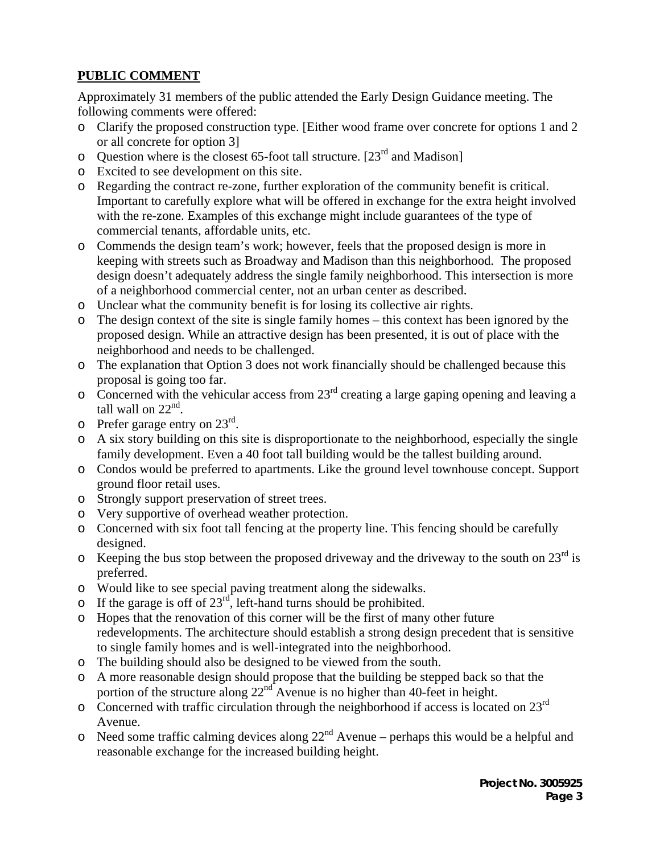# **PUBLIC COMMENT**

Approximately 31 members of the public attended the Early Design Guidance meeting. The following comments were offered:

- o Clarify the proposed construction type. [Either wood frame over concrete for options 1 and 2 or all concrete for option 3]
- $\circ$  Question where is the closest 65-foot tall structure. [23<sup>rd</sup> and Madison]
- o Excited to see development on this site.
- o Regarding the contract re-zone, further exploration of the community benefit is critical. Important to carefully explore what will be offered in exchange for the extra height involved with the re-zone. Examples of this exchange might include guarantees of the type of commercial tenants, affordable units, etc.
- o Commends the design team's work; however, feels that the proposed design is more in keeping with streets such as Broadway and Madison than this neighborhood. The proposed design doesn't adequately address the single family neighborhood. This intersection is more of a neighborhood commercial center, not an urban center as described.
- o Unclear what the community benefit is for losing its collective air rights.
- o The design context of the site is single family homes this context has been ignored by the proposed design. While an attractive design has been presented, it is out of place with the neighborhood and needs to be challenged.
- o The explanation that Option 3 does not work financially should be challenged because this proposal is going too far.
- $\overline{\text{S}}$  Concerned with the vehicular access from 23<sup>rd</sup> creating a large gaping opening and leaving a tall wall on  $22<sup>nd</sup>$ .
- $\circ$  Prefer garage entry on 23<sup>rd</sup>.
- o A six story building on this site is disproportionate to the neighborhood, especially the single family development. Even a 40 foot tall building would be the tallest building around.
- o Condos would be preferred to apartments. Like the ground level townhouse concept. Support ground floor retail uses.
- o Strongly support preservation of street trees.
- o Very supportive of overhead weather protection.
- o Concerned with six foot tall fencing at the property line. This fencing should be carefully designed.
- $\overline{\phantom{a}}$  Keeping the bus stop between the proposed driveway and the driveway to the south on 23<sup>rd</sup> is preferred.
- o Would like to see special paving treatment along the sidewalks.
- o If the garage is off of  $23<sup>rd</sup>$ , left-hand turns should be prohibited.
- o Hopes that the renovation of this corner will be the first of many other future redevelopments. The architecture should establish a strong design precedent that is sensitive to single family homes and is well-integrated into the neighborhood.
- o The building should also be designed to be viewed from the south.
- o A more reasonable design should propose that the building be stepped back so that the portion of the structure along  $22^{nd}$  Avenue is no higher than 40-feet in height.
- o Concerned with traffic circulation through the neighborhood if access is located on 23rd Avenue.
- $\circ$  Need some traffic calming devices along 22<sup>nd</sup> Avenue perhaps this would be a helpful and reasonable exchange for the increased building height.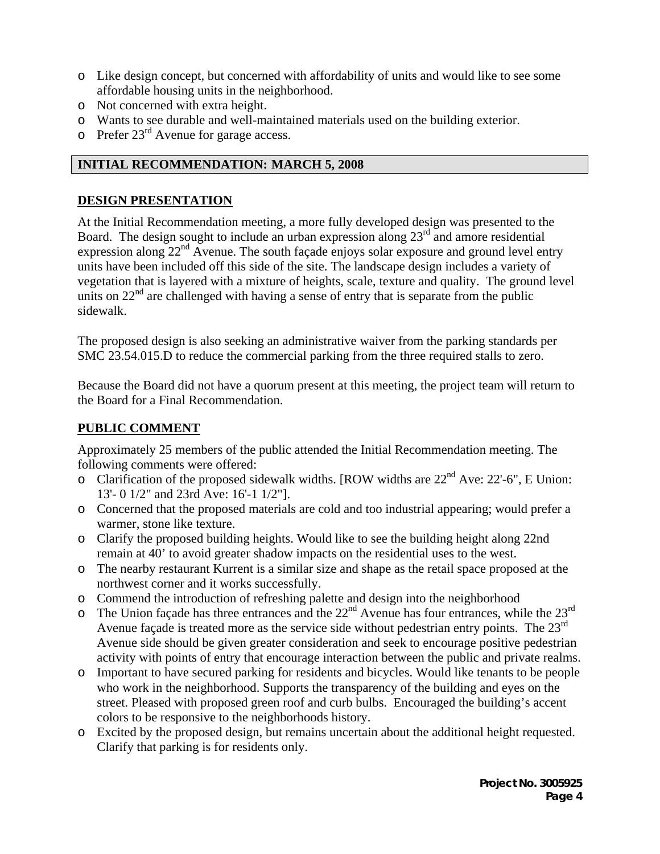- o Like design concept, but concerned with affordability of units and would like to see some affordable housing units in the neighborhood.
- o Not concerned with extra height.
- o Wants to see durable and well-maintained materials used on the building exterior.
- $\circ$  Prefer 23<sup>rd</sup> Avenue for garage access.

# **INITIAL RECOMMENDATION: MARCH 5, 2008**

### **DESIGN PRESENTATION**

At the Initial Recommendation meeting, a more fully developed design was presented to the Board. The design sought to include an urban expression along  $23<sup>rd</sup>$  and amore residential expression along  $22<sup>nd</sup>$  Avenue. The south facade enjoys solar exposure and ground level entry units have been included off this side of the site. The landscape design includes a variety of vegetation that is layered with a mixture of heights, scale, texture and quality. The ground level units on  $22<sup>nd</sup>$  are challenged with having a sense of entry that is separate from the public sidewalk.

The proposed design is also seeking an administrative waiver from the parking standards per SMC 23.54.015.D to reduce the commercial parking from the three required stalls to zero.

Because the Board did not have a quorum present at this meeting, the project team will return to the Board for a Final Recommendation.

# **PUBLIC COMMENT**

Approximately 25 members of the public attended the Initial Recommendation meeting. The following comments were offered:

- o Clarification of the proposed sidewalk widths. [ROW widths are  $22<sup>nd</sup>$  Ave: 22'-6", E Union: 13'- 0 1/2" and 23rd Ave: 16'-1 1/2"].
- o Concerned that the proposed materials are cold and too industrial appearing; would prefer a warmer, stone like texture.
- o Clarify the proposed building heights. Would like to see the building height along 22nd remain at 40' to avoid greater shadow impacts on the residential uses to the west.
- o The nearby restaurant Kurrent is a similar size and shape as the retail space proposed at the northwest corner and it works successfully.
- o Commend the introduction of refreshing palette and design into the neighborhood
- $\overline{\phantom{a}}$  The Union façade has three entrances and the  $22<sup>nd</sup>$  Avenue has four entrances, while the  $23<sup>rd</sup>$ Avenue façade is treated more as the service side without pedestrian entry points. The  $23^{\text{rd}}$ Avenue side should be given greater consideration and seek to encourage positive pedestrian activity with points of entry that encourage interaction between the public and private realms.
- o Important to have secured parking for residents and bicycles. Would like tenants to be people who work in the neighborhood. Supports the transparency of the building and eyes on the street. Pleased with proposed green roof and curb bulbs. Encouraged the building's accent colors to be responsive to the neighborhoods history.
- o Excited by the proposed design, but remains uncertain about the additional height requested. Clarify that parking is for residents only.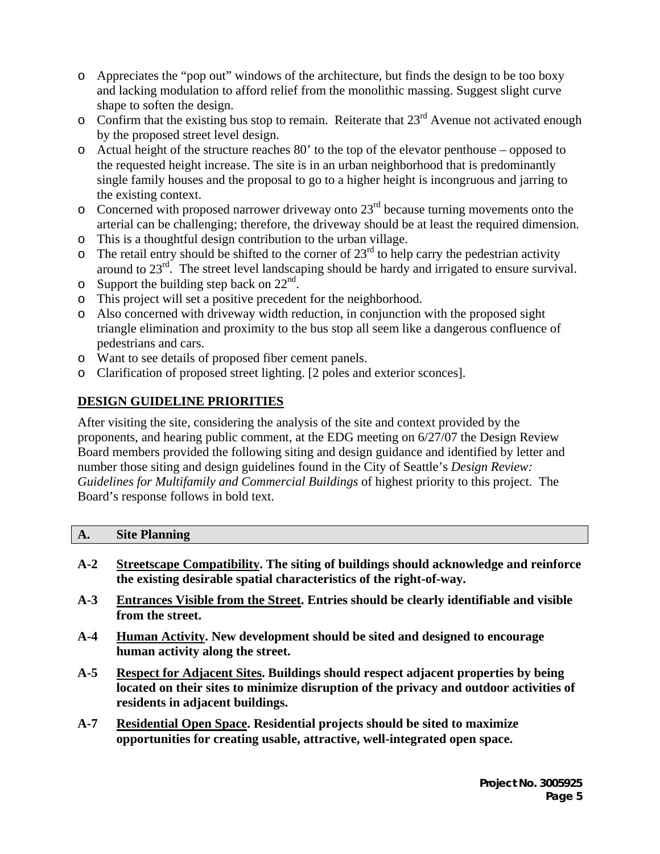- o Appreciates the "pop out" windows of the architecture, but finds the design to be too boxy and lacking modulation to afford relief from the monolithic massing. Suggest slight curve shape to soften the design.
- $\circ$  Confirm that the existing bus stop to remain. Reiterate that 23<sup>rd</sup> Avenue not activated enough by the proposed street level design.
- o Actual height of the structure reaches 80' to the top of the elevator penthouse opposed to the requested height increase. The site is in an urban neighborhood that is predominantly single family houses and the proposal to go to a higher height is incongruous and jarring to the existing context.
- $\circ$  Concerned with proposed narrower driveway onto 23<sup>rd</sup> because turning movements onto the arterial can be challenging; therefore, the driveway should be at least the required dimension.
- o This is a thoughtful design contribution to the urban village.
- $\circ$  The retail entry should be shifted to the corner of 23<sup>rd</sup> to help carry the pedestrian activity around to  $23<sup>rd</sup>$ . The street level landscaping should be hardy and irrigated to ensure survival.
- $\circ$  Support the building step back on 22<sup>nd</sup>.
- o This project will set a positive precedent for the neighborhood.
- o Also concerned with driveway width reduction, in conjunction with the proposed sight triangle elimination and proximity to the bus stop all seem like a dangerous confluence of pedestrians and cars.
- o Want to see details of proposed fiber cement panels.
- o Clarification of proposed street lighting. [2 poles and exterior sconces].

# **DESIGN GUIDELINE PRIORITIES**

After visiting the site, considering the analysis of the site and context provided by the proponents, and hearing public comment, at the EDG meeting on 6/27/07 the Design Review Board members provided the following siting and design guidance and identified by letter and number those siting and design guidelines found in the City of Seattle's *Design Review: Guidelines for Multifamily and Commercial Buildings* of highest priority to this project. The Board's response follows in bold text.

| $\mathbf{A}_{\bullet}$ | <b>Site Planning</b> |  |
|------------------------|----------------------|--|
|                        |                      |  |

- **A-2 Streetscape Compatibility. The siting of buildings should acknowledge and reinforce the existing desirable spatial characteristics of the right-of-way.**
- **A-3 Entrances Visible from the Street. Entries should be clearly identifiable and visible from the street.**
- **A-4 Human Activity. New development should be sited and designed to encourage human activity along the street.**
- **A-5 Respect for Adjacent Sites. Buildings should respect adjacent properties by being located on their sites to minimize disruption of the privacy and outdoor activities of residents in adjacent buildings.**
- **A-7 Residential Open Space. Residential projects should be sited to maximize opportunities for creating usable, attractive, well-integrated open space.**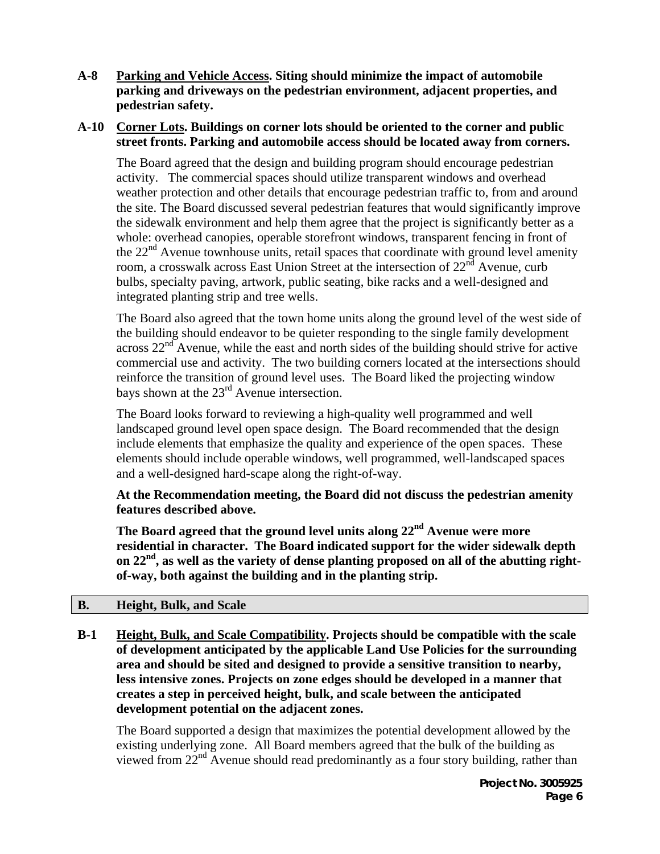**A-8 Parking and Vehicle Access. Siting should minimize the impact of automobile parking and driveways on the pedestrian environment, adjacent properties, and pedestrian safety.** 

#### **A-10 Corner Lots. Buildings on corner lots should be oriented to the corner and public street fronts. Parking and automobile access should be located away from corners.**

The Board agreed that the design and building program should encourage pedestrian activity. The commercial spaces should utilize transparent windows and overhead weather protection and other details that encourage pedestrian traffic to, from and around the site. The Board discussed several pedestrian features that would significantly improve the sidewalk environment and help them agree that the project is significantly better as a whole: overhead canopies, operable storefront windows, transparent fencing in front of the  $22<sup>nd</sup>$  Avenue townhouse units, retail spaces that coordinate with ground level amenity room, a crosswalk across East Union Street at the intersection of  $22<sup>nd</sup>$  Avenue, curb bulbs, specialty paving, artwork, public seating, bike racks and a well-designed and integrated planting strip and tree wells.

The Board also agreed that the town home units along the ground level of the west side of the building should endeavor to be quieter responding to the single family development across  $22<sup>nd</sup>$  Avenue, while the east and north sides of the building should strive for active commercial use and activity. The two building corners located at the intersections should reinforce the transition of ground level uses. The Board liked the projecting window bays shown at the 23<sup>rd</sup> Avenue intersection.

The Board looks forward to reviewing a high-quality well programmed and well landscaped ground level open space design. The Board recommended that the design include elements that emphasize the quality and experience of the open spaces. These elements should include operable windows, well programmed, well-landscaped spaces and a well-designed hard-scape along the right-of-way.

**At the Recommendation meeting, the Board did not discuss the pedestrian amenity features described above.** 

**The Board agreed that the ground level units along 22nd Avenue were more residential in character. The Board indicated support for the wider sidewalk depth on 22nd, as well as the variety of dense planting proposed on all of the abutting rightof-way, both against the building and in the planting strip.** 

### **B. Height, Bulk, and Scale**

**B-1 Height, Bulk, and Scale Compatibility. Projects should be compatible with the scale of development anticipated by the applicable Land Use Policies for the surrounding area and should be sited and designed to provide a sensitive transition to nearby, less intensive zones. Projects on zone edges should be developed in a manner that creates a step in perceived height, bulk, and scale between the anticipated development potential on the adjacent zones.** 

The Board supported a design that maximizes the potential development allowed by the existing underlying zone. All Board members agreed that the bulk of the building as viewed from  $22<sup>nd</sup>$  Avenue should read predominantly as a four story building, rather than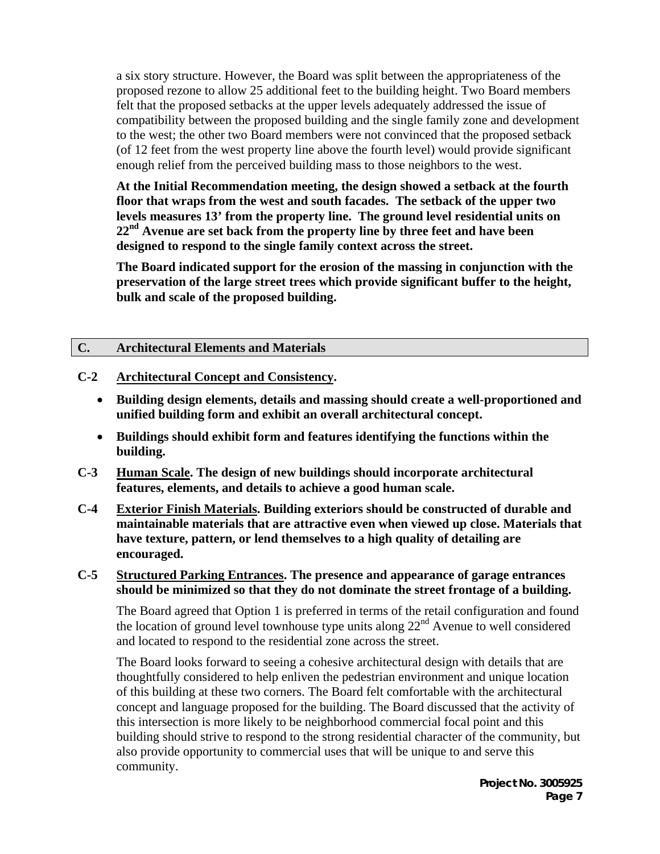a six story structure. However, the Board was split between the appropriateness of the proposed rezone to allow 25 additional feet to the building height. Two Board members felt that the proposed setbacks at the upper levels adequately addressed the issue of compatibility between the proposed building and the single family zone and development to the west; the other two Board members were not convinced that the proposed setback (of 12 feet from the west property line above the fourth level) would provide significant enough relief from the perceived building mass to those neighbors to the west.

**At the Initial Recommendation meeting, the design showed a setback at the fourth floor that wraps from the west and south facades. The setback of the upper two levels measures 13' from the property line. The ground level residential units on 22nd Avenue are set back from the property line by three feet and have been designed to respond to the single family context across the street.** 

**The Board indicated support for the erosion of the massing in conjunction with the preservation of the large street trees which provide significant buffer to the height, bulk and scale of the proposed building.** 

### **C. Architectural Elements and Materials**

#### **C-2 Architectural Concept and Consistency.**

- **Building design elements, details and massing should create a well-proportioned and unified building form and exhibit an overall architectural concept.**
- **Buildings should exhibit form and features identifying the functions within the building.**
- **C-3 Human Scale. The design of new buildings should incorporate architectural features, elements, and details to achieve a good human scale.**
- **C-4 Exterior Finish Materials. Building exteriors should be constructed of durable and maintainable materials that are attractive even when viewed up close. Materials that have texture, pattern, or lend themselves to a high quality of detailing are encouraged.**

#### **C-5 Structured Parking Entrances. The presence and appearance of garage entrances should be minimized so that they do not dominate the street frontage of a building.**

The Board agreed that Option 1 is preferred in terms of the retail configuration and found the location of ground level townhouse type units along  $22<sup>nd</sup>$  Avenue to well considered and located to respond to the residential zone across the street.

The Board looks forward to seeing a cohesive architectural design with details that are thoughtfully considered to help enliven the pedestrian environment and unique location of this building at these two corners. The Board felt comfortable with the architectural concept and language proposed for the building. The Board discussed that the activity of this intersection is more likely to be neighborhood commercial focal point and this building should strive to respond to the strong residential character of the community, but also provide opportunity to commercial uses that will be unique to and serve this community.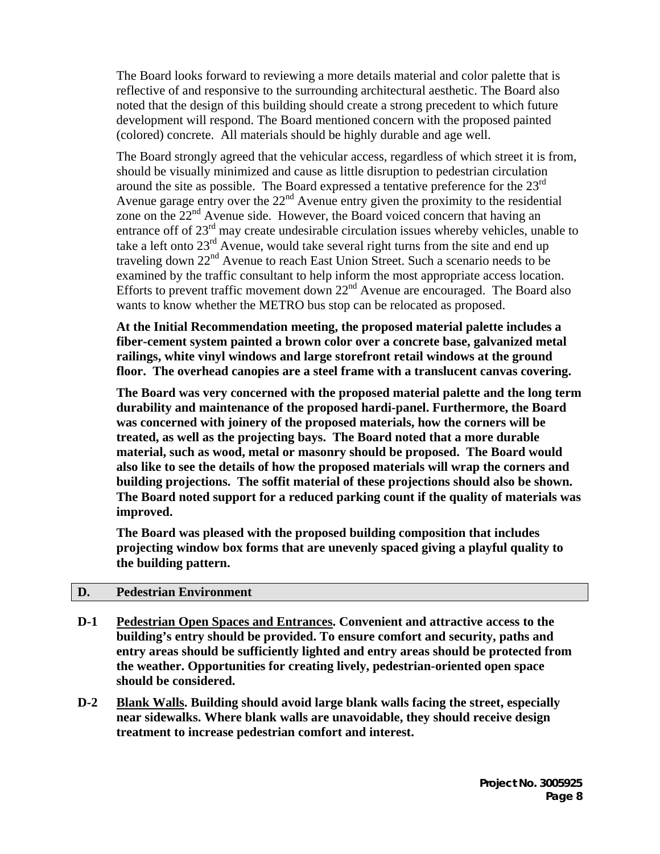The Board looks forward to reviewing a more details material and color palette that is reflective of and responsive to the surrounding architectural aesthetic. The Board also noted that the design of this building should create a strong precedent to which future development will respond. The Board mentioned concern with the proposed painted (colored) concrete. All materials should be highly durable and age well.

The Board strongly agreed that the vehicular access, regardless of which street it is from, should be visually minimized and cause as little disruption to pedestrian circulation around the site as possible. The Board expressed a tentative preference for the  $23<sup>rd</sup>$ Avenue garage entry over the 22<sup>nd</sup> Avenue entry given the proximity to the residential zone on the  $22<sup>nd</sup>$  Avenue side. However, the Board voiced concern that having an entrance off of 23<sup>rd</sup> may create undesirable circulation issues whereby vehicles, unable to take a left onto  $23<sup>rd</sup>$  Avenue, would take several right turns from the site and end up traveling down 22<sup>nd</sup> Avenue to reach East Union Street. Such a scenario needs to be examined by the traffic consultant to help inform the most appropriate access location. Efforts to prevent traffic movement down  $22<sup>nd</sup>$  Avenue are encouraged. The Board also wants to know whether the METRO bus stop can be relocated as proposed.

**At the Initial Recommendation meeting, the proposed material palette includes a fiber-cement system painted a brown color over a concrete base, galvanized metal railings, white vinyl windows and large storefront retail windows at the ground floor. The overhead canopies are a steel frame with a translucent canvas covering.** 

**The Board was very concerned with the proposed material palette and the long term durability and maintenance of the proposed hardi-panel. Furthermore, the Board was concerned with joinery of the proposed materials, how the corners will be treated, as well as the projecting bays. The Board noted that a more durable material, such as wood, metal or masonry should be proposed. The Board would also like to see the details of how the proposed materials will wrap the corners and building projections. The soffit material of these projections should also be shown. The Board noted support for a reduced parking count if the quality of materials was improved.** 

**The Board was pleased with the proposed building composition that includes projecting window box forms that are unevenly spaced giving a playful quality to the building pattern.** 

#### **D. Pedestrian Environment**

- **D-1 Pedestrian Open Spaces and Entrances. Convenient and attractive access to the building's entry should be provided. To ensure comfort and security, paths and entry areas should be sufficiently lighted and entry areas should be protected from the weather. Opportunities for creating lively, pedestrian-oriented open space should be considered.**
- **D-2 Blank Walls. Building should avoid large blank walls facing the street, especially near sidewalks. Where blank walls are unavoidable, they should receive design treatment to increase pedestrian comfort and interest.**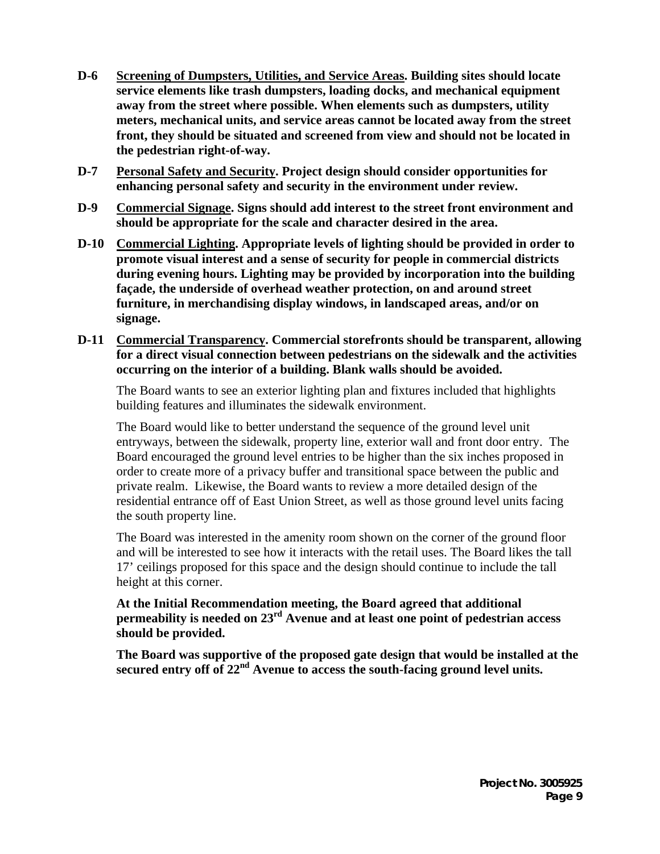- **D-6 Screening of Dumpsters, Utilities, and Service Areas. Building sites should locate service elements like trash dumpsters, loading docks, and mechanical equipment away from the street where possible. When elements such as dumpsters, utility meters, mechanical units, and service areas cannot be located away from the street front, they should be situated and screened from view and should not be located in the pedestrian right-of-way.**
- **D-7 Personal Safety and Security. Project design should consider opportunities for enhancing personal safety and security in the environment under review.**
- **D-9 Commercial Signage. Signs should add interest to the street front environment and should be appropriate for the scale and character desired in the area.**
- **D-10 Commercial Lighting. Appropriate levels of lighting should be provided in order to promote visual interest and a sense of security for people in commercial districts during evening hours. Lighting may be provided by incorporation into the building façade, the underside of overhead weather protection, on and around street furniture, in merchandising display windows, in landscaped areas, and/or on signage.**
- **D-11 Commercial Transparency. Commercial storefronts should be transparent, allowing for a direct visual connection between pedestrians on the sidewalk and the activities occurring on the interior of a building. Blank walls should be avoided.**

The Board wants to see an exterior lighting plan and fixtures included that highlights building features and illuminates the sidewalk environment.

The Board would like to better understand the sequence of the ground level unit entryways, between the sidewalk, property line, exterior wall and front door entry. The Board encouraged the ground level entries to be higher than the six inches proposed in order to create more of a privacy buffer and transitional space between the public and private realm. Likewise, the Board wants to review a more detailed design of the residential entrance off of East Union Street, as well as those ground level units facing the south property line.

The Board was interested in the amenity room shown on the corner of the ground floor and will be interested to see how it interacts with the retail uses. The Board likes the tall 17' ceilings proposed for this space and the design should continue to include the tall height at this corner.

**At the Initial Recommendation meeting, the Board agreed that additional permeability is needed on 23rd Avenue and at least one point of pedestrian access should be provided.** 

**The Board was supportive of the proposed gate design that would be installed at the**  secured entry off of 22<sup>nd</sup> Avenue to access the south-facing ground level units.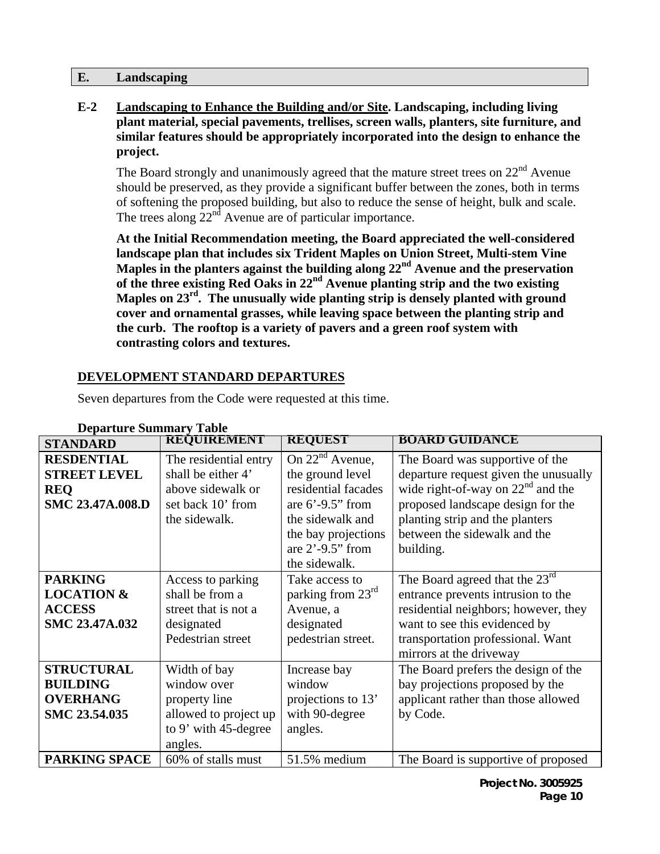#### **E. Landscaping**

**E-2 Landscaping to Enhance the Building and/or Site. Landscaping, including living plant material, special pavements, trellises, screen walls, planters, site furniture, and similar features should be appropriately incorporated into the design to enhance the project.** 

The Board strongly and unanimously agreed that the mature street trees on  $22<sup>nd</sup>$  Avenue should be preserved, as they provide a significant buffer between the zones, both in terms of softening the proposed building, but also to reduce the sense of height, bulk and scale. The trees along  $22<sup>nd</sup>$  Avenue are of particular importance.

**At the Initial Recommendation meeting, the Board appreciated the well-considered landscape plan that includes six Trident Maples on Union Street, Multi-stem Vine Maples in the planters against the building along 22nd Avenue and the preservation of the three existing Red Oaks in 22nd Avenue planting strip and the two existing Maples on 23rd. The unusually wide planting strip is densely planted with ground cover and ornamental grasses, while leaving space between the planting strip and the curb. The rooftop is a variety of pavers and a green roof system with contrasting colors and textures.** 

### **DEVELOPMENT STANDARD DEPARTURES**

| <b>Departure Summary Table</b> |                       |                      |                                       |  |  |
|--------------------------------|-----------------------|----------------------|---------------------------------------|--|--|
| <b>STANDARD</b>                | <b>REQUIREMENT</b>    | <b>REQUEST</b>       | <b>BOARD GUIDANCE</b>                 |  |  |
| <b>RESDENTIAL</b>              | The residential entry | On $22^{nd}$ Avenue, | The Board was supportive of the       |  |  |
| <b>STREET LEVEL</b>            | shall be either 4'    | the ground level     | departure request given the unusually |  |  |
| <b>REQ</b>                     | above sidewalk or     | residential facades  | wide right-of-way on $22nd$ and the   |  |  |
| SMC 23.47A.008.D               | set back 10' from     | are $6'$ -9.5" from  | proposed landscape design for the     |  |  |
|                                | the sidewalk.         | the sidewalk and     | planting strip and the planters       |  |  |
|                                |                       | the bay projections  | between the sidewalk and the          |  |  |
|                                |                       | are $2'$ -9.5" from  | building.                             |  |  |
|                                |                       | the sidewalk.        |                                       |  |  |
| <b>PARKING</b>                 | Access to parking     | Take access to       | The Board agreed that the $23rd$      |  |  |
| <b>LOCATION &amp;</b>          | shall be from a       | parking from 23rd    | entrance prevents intrusion to the    |  |  |
| <b>ACCESS</b>                  | street that is not a  | Avenue, a            | residential neighbors; however, they  |  |  |
| SMC 23.47A.032                 | designated            | designated           | want to see this evidenced by         |  |  |
|                                | Pedestrian street     | pedestrian street.   | transportation professional. Want     |  |  |
|                                |                       |                      | mirrors at the driveway               |  |  |
| <b>STRUCTURAL</b>              | Width of bay          | Increase bay         | The Board prefers the design of the   |  |  |
| <b>BUILDING</b>                | window over           | window               | bay projections proposed by the       |  |  |
| <b>OVERHANG</b>                | property line         | projections to 13'   | applicant rather than those allowed   |  |  |
| SMC 23.54.035                  | allowed to project up | with 90-degree       | by Code.                              |  |  |
|                                | to 9' with 45-degree  | angles.              |                                       |  |  |
|                                | angles.               |                      |                                       |  |  |
| <b>PARKING SPACE</b>           | 60% of stalls must    | 51.5% medium         | The Board is supportive of proposed   |  |  |

Seven departures from the Code were requested at this time.